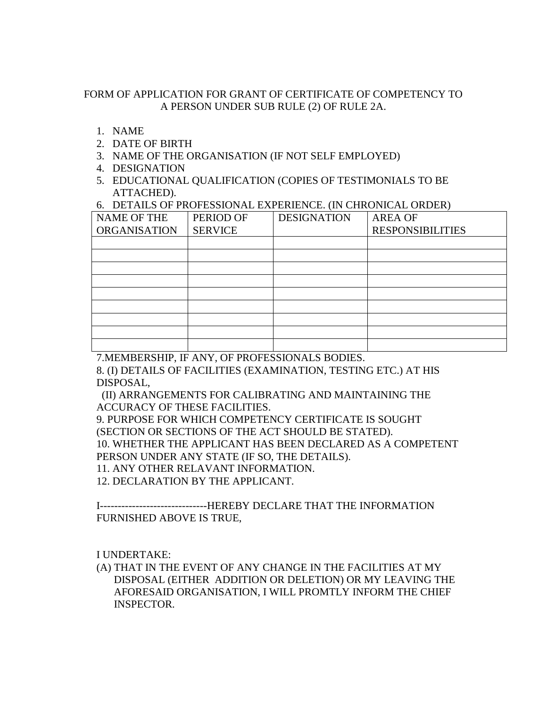## FORM OF APPLICATION FOR GRANT OF CERTIFICATE OF COMPETENCY TO A PERSON UNDER SUB RULE (2) OF RULE 2A.

- 1. NAME
- 2. DATE OF BIRTH
- 3. NAME OF THE ORGANISATION (IF NOT SELF EMPLOYED)
- 4. DESIGNATION
- 5. EDUCATIONAL QUALIFICATION (COPIES OF TESTIMONIALS TO BE ATTACHED).

6. DETAILS OF PROFESSIONAL EXPERIENCE. (IN CHRONICAL ORDER)

| <b>NAME OF THE</b>  | PERIOD OF      | <b>DESIGNATION</b> | <b>AREA OF</b>          |  |
|---------------------|----------------|--------------------|-------------------------|--|
| <b>ORGANISATION</b> | <b>SERVICE</b> |                    | <b>RESPONSIBILITIES</b> |  |
|                     |                |                    |                         |  |
|                     |                |                    |                         |  |
|                     |                |                    |                         |  |
|                     |                |                    |                         |  |
|                     |                |                    |                         |  |
|                     |                |                    |                         |  |
|                     |                |                    |                         |  |
|                     |                |                    |                         |  |
|                     |                |                    |                         |  |

7.MEMBERSHIP, IF ANY, OF PROFESSIONALS BODIES.

8. (I) DETAILS OF FACILITIES (EXAMINATION, TESTING ETC.) AT HIS DISPOSAL,

 (II) ARRANGEMENTS FOR CALIBRATING AND MAINTAINING THE ACCURACY OF THESE FACILITIES.

9. PURPOSE FOR WHICH COMPETENCY CERTIFICATE IS SOUGHT (SECTION OR SECTIONS OF THE ACT SHOULD BE STATED).

10. WHETHER THE APPLICANT HAS BEEN DECLARED AS A COMPETENT

PERSON UNDER ANY STATE (IF SO, THE DETAILS).

11. ANY OTHER RELAVANT INFORMATION.

12. DECLARATION BY THE APPLICANT.

I------------------------------HEREBY DECLARE THAT THE INFORMATION FURNISHED ABOVE IS TRUE,

I UNDERTAKE:

(A) THAT IN THE EVENT OF ANY CHANGE IN THE FACILITIES AT MY DISPOSAL (EITHER ADDITION OR DELETION) OR MY LEAVING THE AFORESAID ORGANISATION, I WILL PROMTLY INFORM THE CHIEF INSPECTOR.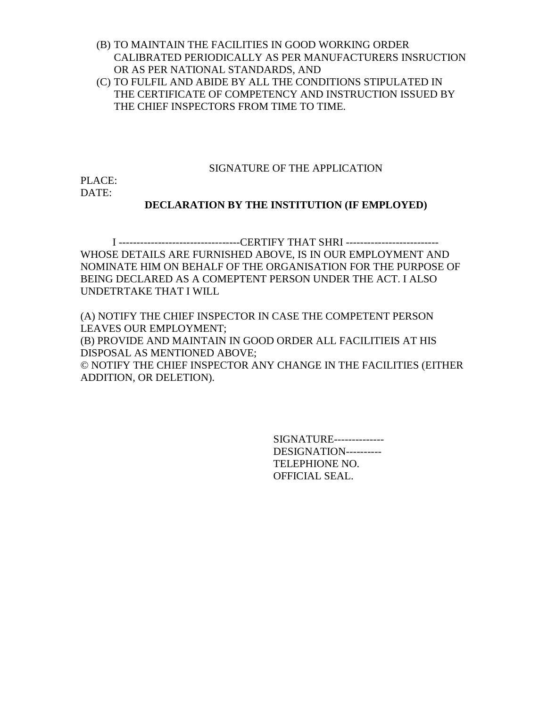- (B) TO MAINTAIN THE FACILITIES IN GOOD WORKING ORDER CALIBRATED PERIODICALLY AS PER MANUFACTURERS INSRUCTION OR AS PER NATIONAL STANDARDS, AND
- (C) TO FULFIL AND ABIDE BY ALL THE CONDITIONS STIPULATED IN THE CERTIFICATE OF COMPETENCY AND INSTRUCTION ISSUED BY THE CHIEF INSPECTORS FROM TIME TO TIME.

## SIGNATURE OF THE APPLICATION

PLACE: DATE:

## **DECLARATION BY THE INSTITUTION (IF EMPLOYED)**

I ----------------------------------CERTIFY THAT SHRI -------------------------- WHOSE DETAILS ARE FURNISHED ABOVE, IS IN OUR EMPLOYMENT AND NOMINATE HIM ON BEHALF OF THE ORGANISATION FOR THE PURPOSE OF BEING DECLARED AS A COMEPTENT PERSON UNDER THE ACT. I ALSO UNDETRTAKE THAT I WILL

(A) NOTIFY THE CHIEF INSPECTOR IN CASE THE COMPETENT PERSON LEAVES OUR EMPLOYMENT; (B) PROVIDE AND MAINTAIN IN GOOD ORDER ALL FACILITIEIS AT HIS DISPOSAL AS MENTIONED ABOVE; © NOTIFY THE CHIEF INSPECTOR ANY CHANGE IN THE FACILITIES (EITHER ADDITION, OR DELETION).

> SIGNATURE-------------- DESIGNATION---------- TELEPHIONE NO. OFFICIAL SEAL.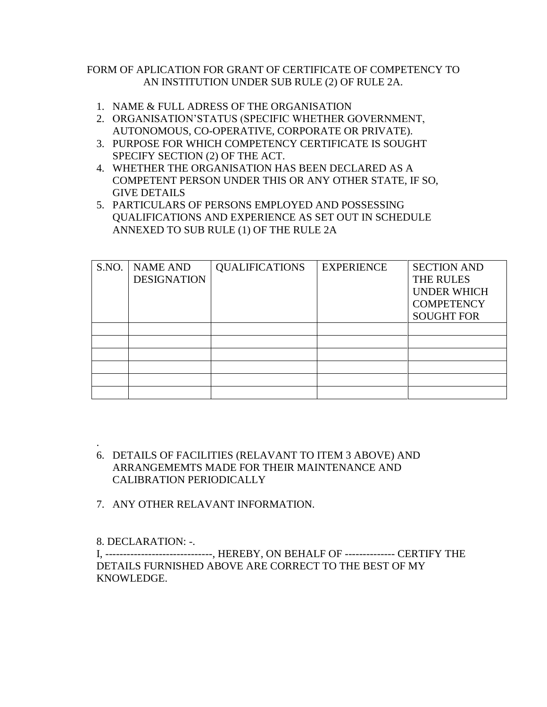## FORM OF APLICATION FOR GRANT OF CERTIFICATE OF COMPETENCY TO AN INSTITUTION UNDER SUB RULE (2) OF RULE 2A.

- 1. NAME & FULL ADRESS OF THE ORGANISATION
- 2. ORGANISATION'STATUS (SPECIFIC WHETHER GOVERNMENT, AUTONOMOUS, CO-OPERATIVE, CORPORATE OR PRIVATE).
- 3. PURPOSE FOR WHICH COMPETENCY CERTIFICATE IS SOUGHT SPECIFY SECTION (2) OF THE ACT.
- 4. WHETHER THE ORGANISATION HAS BEEN DECLARED AS A COMPETENT PERSON UNDER THIS OR ANY OTHER STATE, IF SO, GIVE DETAILS
- 5. PARTICULARS OF PERSONS EMPLOYED AND POSSESSING QUALIFICATIONS AND EXPERIENCE AS SET OUT IN SCHEDULE ANNEXED TO SUB RULE (1) OF THE RULE 2A

| S.NO. | <b>NAME AND</b><br><b>DESIGNATION</b> | <b>QUALIFICATIONS</b> | <b>EXPERIENCE</b> | <b>SECTION AND</b><br>THE RULES<br><b>UNDER WHICH</b><br><b>COMPETENCY</b><br><b>SOUGHT FOR</b> |
|-------|---------------------------------------|-----------------------|-------------------|-------------------------------------------------------------------------------------------------|
|       |                                       |                       |                   |                                                                                                 |
|       |                                       |                       |                   |                                                                                                 |
|       |                                       |                       |                   |                                                                                                 |
|       |                                       |                       |                   |                                                                                                 |
|       |                                       |                       |                   |                                                                                                 |
|       |                                       |                       |                   |                                                                                                 |

- . 6. DETAILS OF FACILITIES (RELAVANT TO ITEM 3 ABOVE) AND ARRANGEMEMTS MADE FOR THEIR MAINTENANCE AND CALIBRATION PERIODICALLY
- 7. ANY OTHER RELAVANT INFORMATION.

8. DECLARATION: -.

I, ------------------------------, HEREBY, ON BEHALF OF -------------- CERTIFY THE DETAILS FURNISHED ABOVE ARE CORRECT TO THE BEST OF MY KNOWLEDGE.